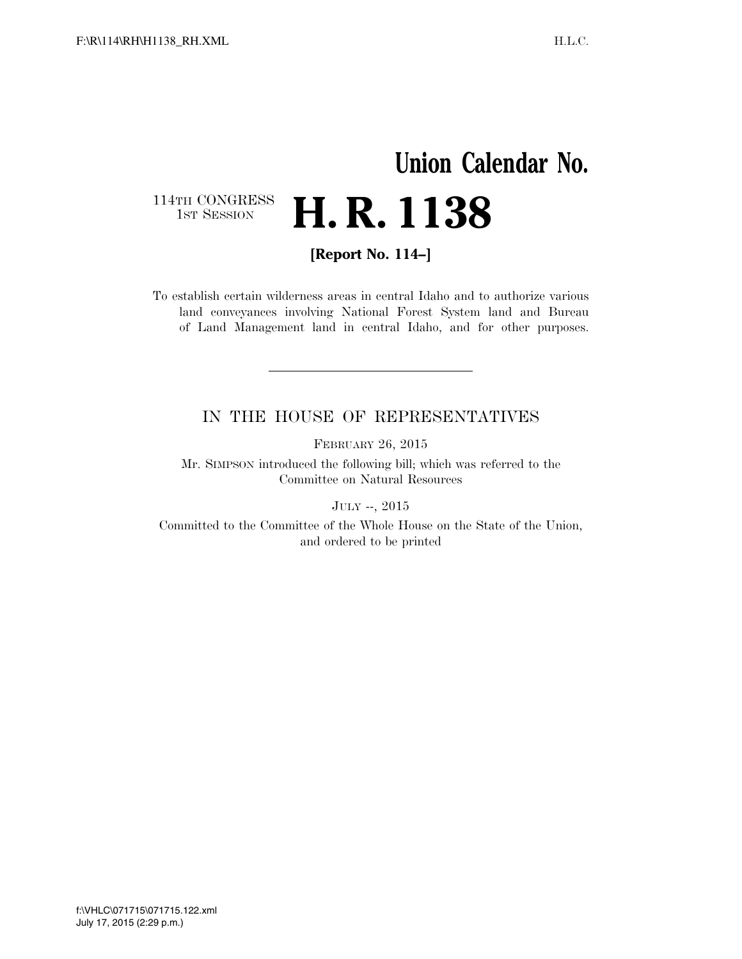# **Union Calendar No.**  114TH CONGRESS<br>1st Session H. R. 1138

**[Report No. 114–]** 

To establish certain wilderness areas in central Idaho and to authorize various land conveyances involving National Forest System land and Bureau of Land Management land in central Idaho, and for other purposes.

## IN THE HOUSE OF REPRESENTATIVES

FEBRUARY 26, 2015

Mr. SIMPSON introduced the following bill; which was referred to the Committee on Natural Resources

JULY --, 2015

Committed to the Committee of the Whole House on the State of the Union, and ordered to be printed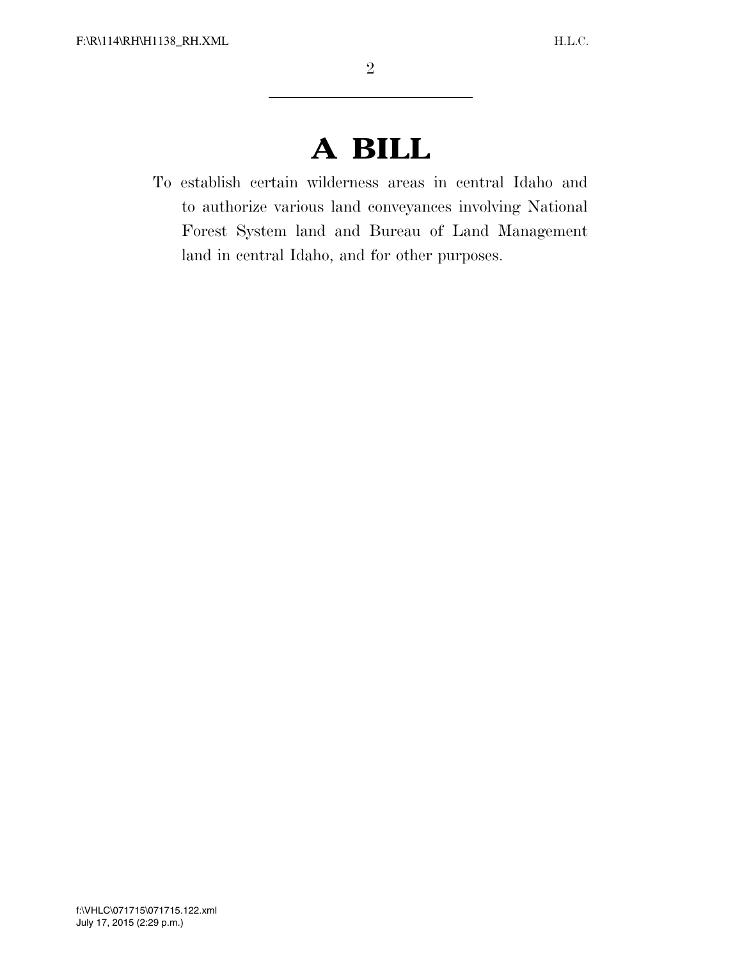# **A BILL**

To establish certain wilderness areas in central Idaho and to authorize various land conveyances involving National Forest System land and Bureau of Land Management land in central Idaho, and for other purposes.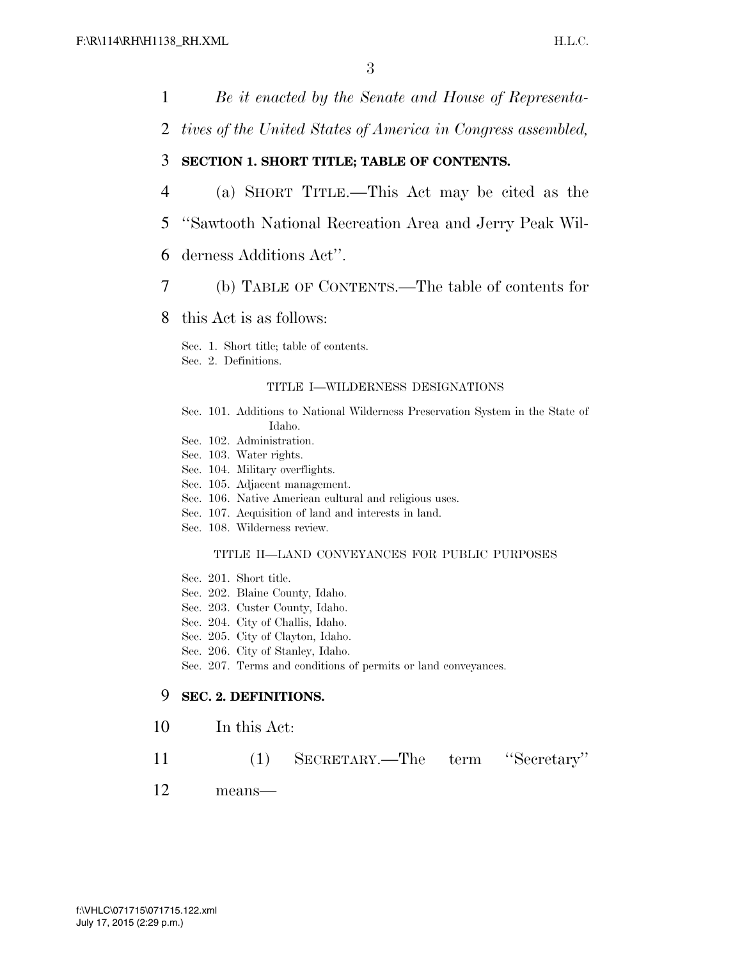1 *Be it enacted by the Senate and House of Representa-*

2 *tives of the United States of America in Congress assembled,* 

#### 3 **SECTION 1. SHORT TITLE; TABLE OF CONTENTS.**

- 4 (a) SHORT TITLE.—This Act may be cited as the
- 5 ''Sawtooth National Recreation Area and Jerry Peak Wil-
- 6 derness Additions Act''.
- 7 (b) TABLE OF CONTENTS.—The table of contents for

#### 8 this Act is as follows:

Sec. 1. Short title; table of contents. Sec. 2. Definitions.

#### TITLE I—WILDERNESS DESIGNATIONS

- Sec. 101. Additions to National Wilderness Preservation System in the State of Idaho.
- Sec. 102. Administration.
- Sec. 103. Water rights.
- Sec. 104. Military overflights.
- Sec. 105. Adjacent management.
- Sec. 106. Native American cultural and religious uses.
- Sec. 107. Acquisition of land and interests in land.
- Sec. 108. Wilderness review.

#### TITLE II—LAND CONVEYANCES FOR PUBLIC PURPOSES

- Sec. 201. Short title.
- Sec. 202. Blaine County, Idaho.
- Sec. 203. Custer County, Idaho.
- Sec. 204. City of Challis, Idaho.
- Sec. 205. City of Clayton, Idaho.
- Sec. 206. City of Stanley, Idaho.
- Sec. 207. Terms and conditions of permits or land conveyances.

### 9 **SEC. 2. DEFINITIONS.**

- 10 In this Act:
- 11 (1) SECRETARY.—The term ''Secretary''
- 12 means—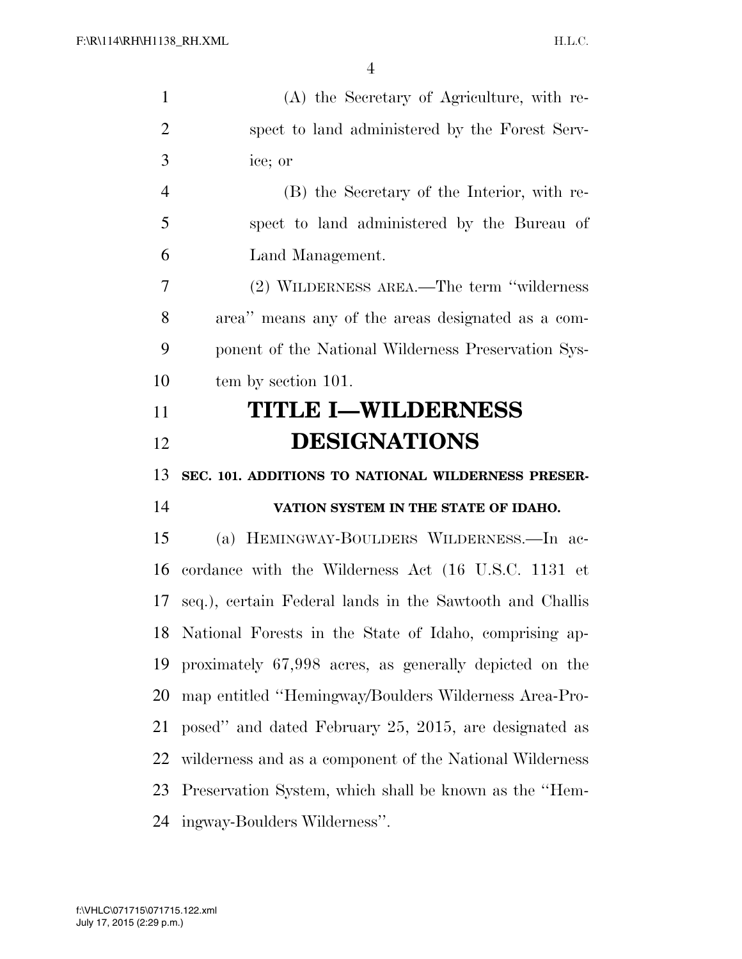| $\mathbf{1}$   | (A) the Secretary of Agriculture, with re-               |
|----------------|----------------------------------------------------------|
| $\overline{2}$ | spect to land administered by the Forest Serv-           |
| 3              | ice; or                                                  |
| $\overline{4}$ | (B) the Secretary of the Interior, with re-              |
| 5              | spect to land administered by the Bureau of              |
| 6              | Land Management.                                         |
| 7              | (2) WILDERNESS AREA.—The term "wilderness                |
| 8              | area" means any of the areas designated as a com-        |
| 9              | ponent of the National Wilderness Preservation Sys-      |
| 10             | tem by section 101.                                      |
| 11             | <b>TITLE I-WILDERNESS</b>                                |
| 12             | <b>DESIGNATIONS</b>                                      |
|                |                                                          |
| 13             | SEC. 101. ADDITIONS TO NATIONAL WILDERNESS PRESER-       |
| 14             | VATION SYSTEM IN THE STATE OF IDAHO.                     |
| 15             | (a) HEMINGWAY-BOULDERS WILDERNESS.—In ac-                |
| 16             | cordance with the Wilderness Act (16 U.S.C. 1131 et      |
| 17             | seq.), certain Federal lands in the Sawtooth and Challis |
| 18             | National Forests in the State of Idaho, comprising ap-   |
| 19             | proximately 67,998 acres, as generally depicted on the   |
| 20             | map entitled "Hemingway/Boulders Wilderness Area-Pro-    |
| 21             | posed" and dated February 25, 2015, are designated as    |
| 22             | wilderness and as a component of the National Wilderness |
| 23             | Preservation System, which shall be known as the "Hem-   |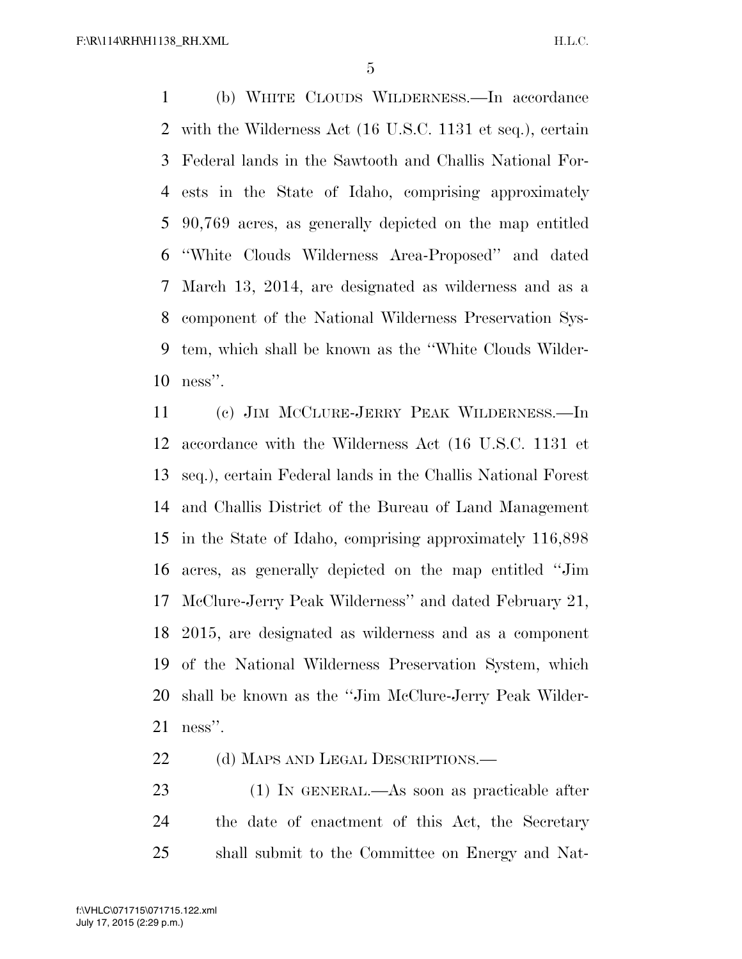(b) WHITE CLOUDS WILDERNESS.—In accordance with the Wilderness Act (16 U.S.C. 1131 et seq.), certain Federal lands in the Sawtooth and Challis National For- ests in the State of Idaho, comprising approximately 90,769 acres, as generally depicted on the map entitled ''White Clouds Wilderness Area-Proposed'' and dated March 13, 2014, are designated as wilderness and as a component of the National Wilderness Preservation Sys- tem, which shall be known as the ''White Clouds Wilder-ness''.

 (c) JIM MCCLURE-JERRY PEAK WILDERNESS.—In accordance with the Wilderness Act (16 U.S.C. 1131 et seq.), certain Federal lands in the Challis National Forest and Challis District of the Bureau of Land Management in the State of Idaho, comprising approximately 116,898 acres, as generally depicted on the map entitled ''Jim McClure-Jerry Peak Wilderness'' and dated February 21, 2015, are designated as wilderness and as a component of the National Wilderness Preservation System, which shall be known as the ''Jim McClure-Jerry Peak Wilder-ness''.

22 (d) MAPS AND LEGAL DESCRIPTIONS.—

 (1) IN GENERAL.—As soon as practicable after the date of enactment of this Act, the Secretary shall submit to the Committee on Energy and Nat-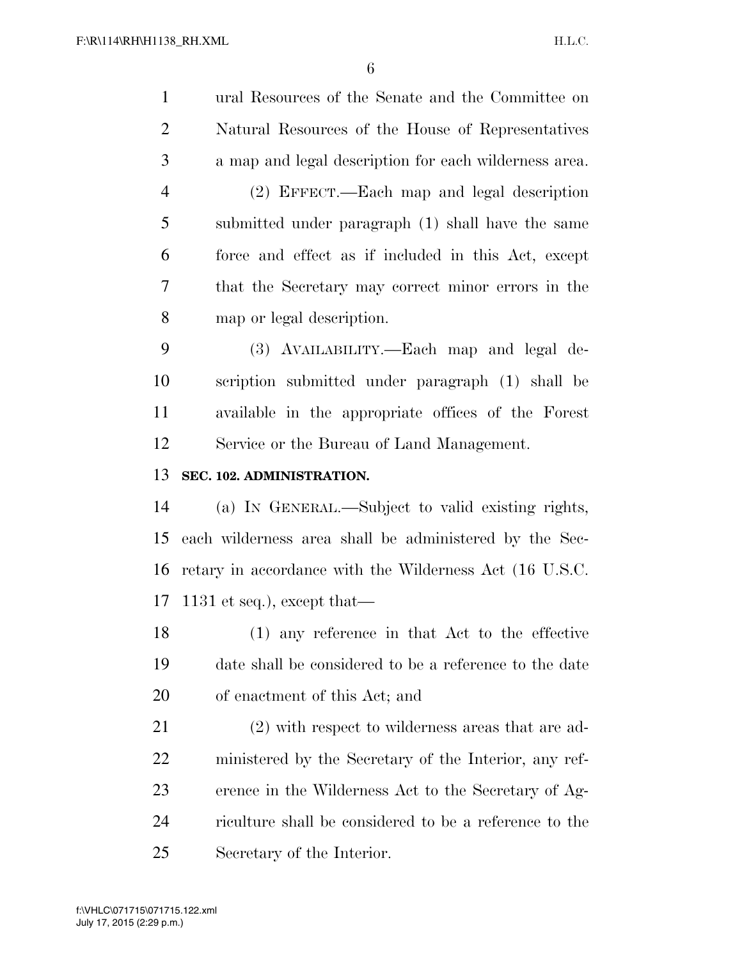ural Resources of the Senate and the Committee on Natural Resources of the House of Representatives a map and legal description for each wilderness area. (2) EFFECT.—Each map and legal description submitted under paragraph (1) shall have the same force and effect as if included in this Act, except that the Secretary may correct minor errors in the map or legal description. (3) AVAILABILITY.—Each map and legal de- scription submitted under paragraph (1) shall be available in the appropriate offices of the Forest Service or the Bureau of Land Management. **SEC. 102. ADMINISTRATION.**  (a) IN GENERAL.—Subject to valid existing rights, each wilderness area shall be administered by the Sec- retary in accordance with the Wilderness Act (16 U.S.C. 1131 et seq.), except that— (1) any reference in that Act to the effective date shall be considered to be a reference to the date of enactment of this Act; and (2) with respect to wilderness areas that are ad- ministered by the Secretary of the Interior, any ref- erence in the Wilderness Act to the Secretary of Ag- riculture shall be considered to be a reference to the Secretary of the Interior.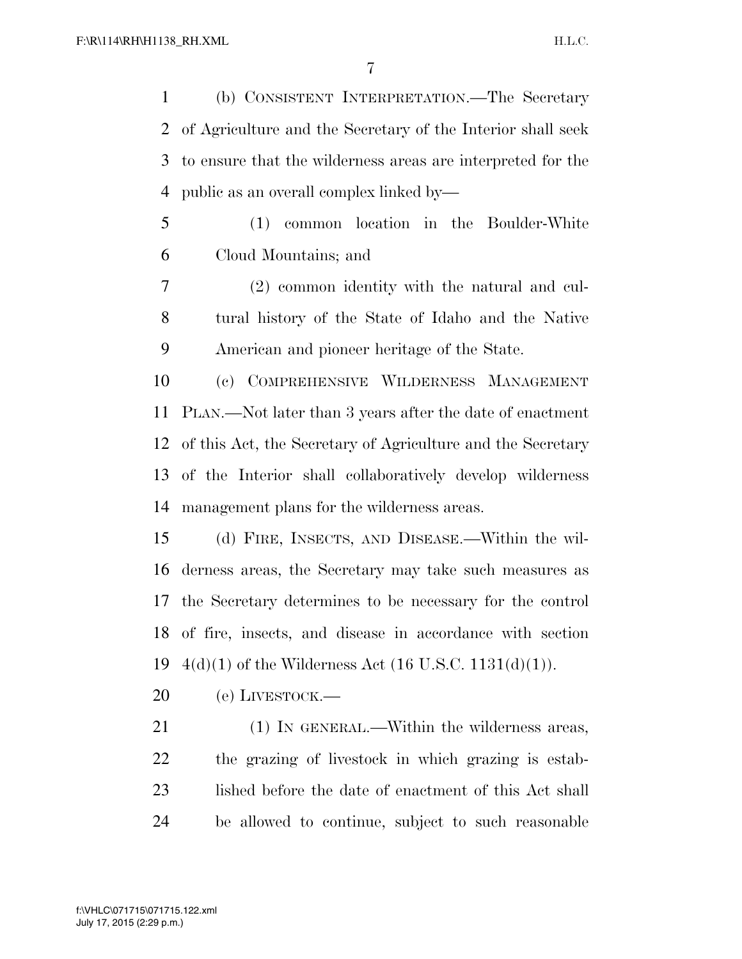(b) CONSISTENT INTERPRETATION.—The Secretary of Agriculture and the Secretary of the Interior shall seek to ensure that the wilderness areas are interpreted for the public as an overall complex linked by—

- (1) common location in the Boulder-White Cloud Mountains; and
- (2) common identity with the natural and cul- tural history of the State of Idaho and the Native American and pioneer heritage of the State.

 (c) COMPREHENSIVE WILDERNESS MANAGEMENT PLAN.—Not later than 3 years after the date of enactment of this Act, the Secretary of Agriculture and the Secretary of the Interior shall collaboratively develop wilderness management plans for the wilderness areas.

 (d) FIRE, INSECTS, AND DISEASE.—Within the wil- derness areas, the Secretary may take such measures as the Secretary determines to be necessary for the control of fire, insects, and disease in accordance with section  $4(d)(1)$  of the Wilderness Act  $(16 \text{ U.S.C. } 1131(d)(1)).$ 

20 (e) LIVESTOCK.—

21 (1) IN GENERAL.—Within the wilderness areas, the grazing of livestock in which grazing is estab- lished before the date of enactment of this Act shall be allowed to continue, subject to such reasonable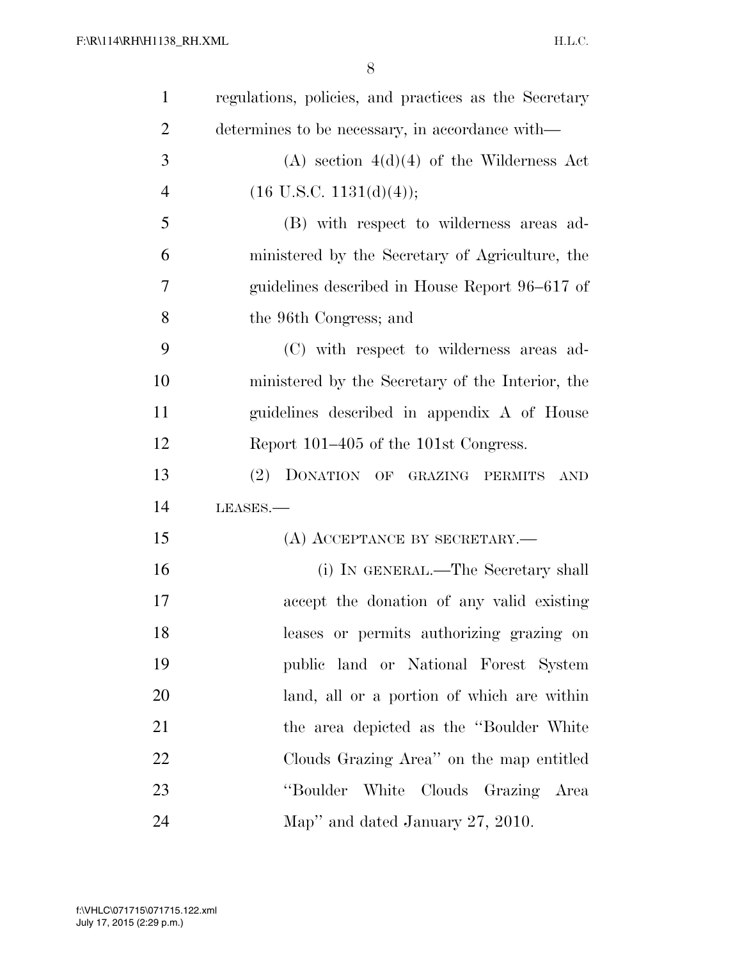| $\mathbf{1}$   | regulations, policies, and practices as the Secretary |
|----------------|-------------------------------------------------------|
| $\overline{2}$ | determines to be necessary, in accordance with—       |
| 3              | $(A)$ section $4(d)(4)$ of the Wilderness Act         |
| $\overline{4}$ | $(16 \text{ U.S.C. } 1131(d)(4));$                    |
| 5              | (B) with respect to wilderness areas ad-              |
| 6              | ministered by the Secretary of Agriculture, the       |
| 7              | guidelines described in House Report 96–617 of        |
| 8              | the 96th Congress; and                                |
| 9              | (C) with respect to wilderness areas ad-              |
| 10             | ministered by the Secretary of the Interior, the      |
| 11             | guidelines described in appendix A of House           |
| 12             | Report 101–405 of the 101st Congress.                 |
| 13             | (2) DONATION OF GRAZING PERMITS<br><b>AND</b>         |
| 14             | LEASES.                                               |
| 15             | (A) ACCEPTANCE BY SECRETARY.—                         |
| 16             | (i) IN GENERAL.—The Secretary shall                   |
| 17             | accept the donation of any valid existing             |
| 18             | leases or permits authorizing grazing on              |
| 19             | public land or National Forest System                 |
| 20             | land, all or a portion of which are within            |
| 21             | the area depicted as the "Boulder White"              |
| 22             | Clouds Grazing Area" on the map entitled              |
| 23             | "Boulder White Clouds Grazing Area                    |
| 24             | Map" and dated January 27, 2010.                      |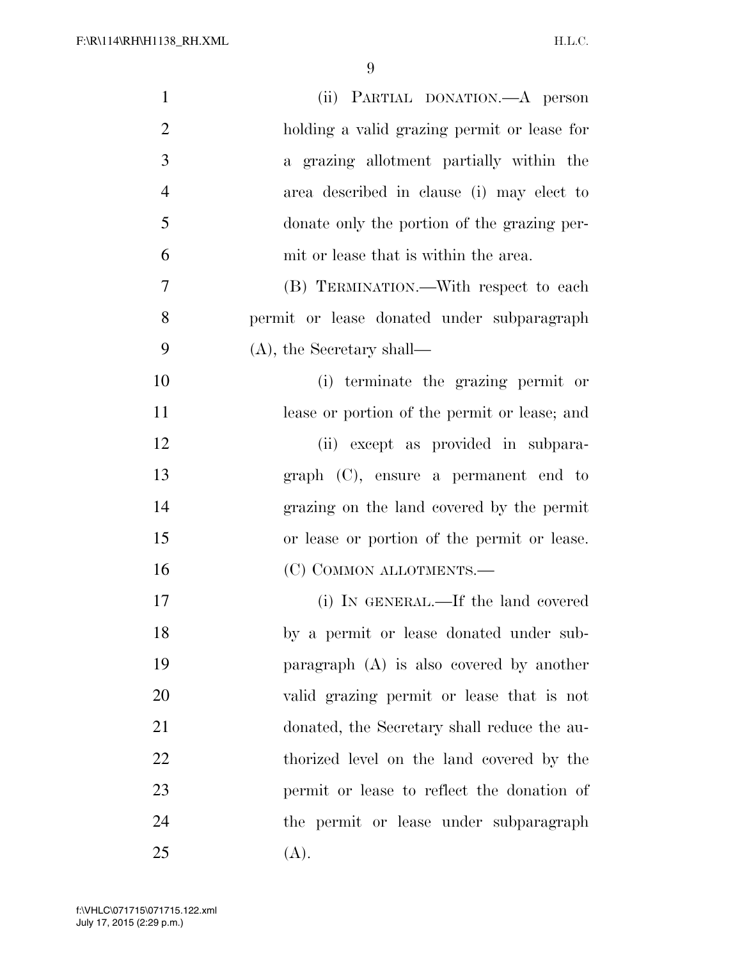| $\mathbf{1}$   | (ii) PARTIAL DONATION.—A person              |
|----------------|----------------------------------------------|
| $\overline{2}$ | holding a valid grazing permit or lease for  |
| 3              | a grazing allotment partially within the     |
| $\overline{4}$ | area described in clause (i) may elect to    |
| 5              | donate only the portion of the grazing per-  |
| 6              | mit or lease that is within the area.        |
| 7              | (B) TERMINATION.—With respect to each        |
| 8              | permit or lease donated under subparagraph   |
| 9              | $(A)$ , the Secretary shall—                 |
| 10             | (i) terminate the grazing permit or          |
| 11             | lease or portion of the permit or lease; and |
| 12             | (ii) except as provided in subpara-          |
| 13             | $graph (C)$ , ensure a permanent end to      |
| 14             | grazing on the land covered by the permit    |
| 15             | or lease or portion of the permit or lease.  |
| 16             | (C) COMMON ALLOTMENTS.-                      |
| 17             | (i) IN GENERAL.—If the land covered          |
| 18             | by a permit or lease donated under sub-      |
| 19             | paragraph $(A)$ is also covered by another   |
| 20             | valid grazing permit or lease that is not    |
| 21             | donated, the Secretary shall reduce the au-  |
| 22             | thorized level on the land covered by the    |
| 23             | permit or lease to reflect the donation of   |
| 24             | the permit or lease under subparagraph       |
| 25             | (A).                                         |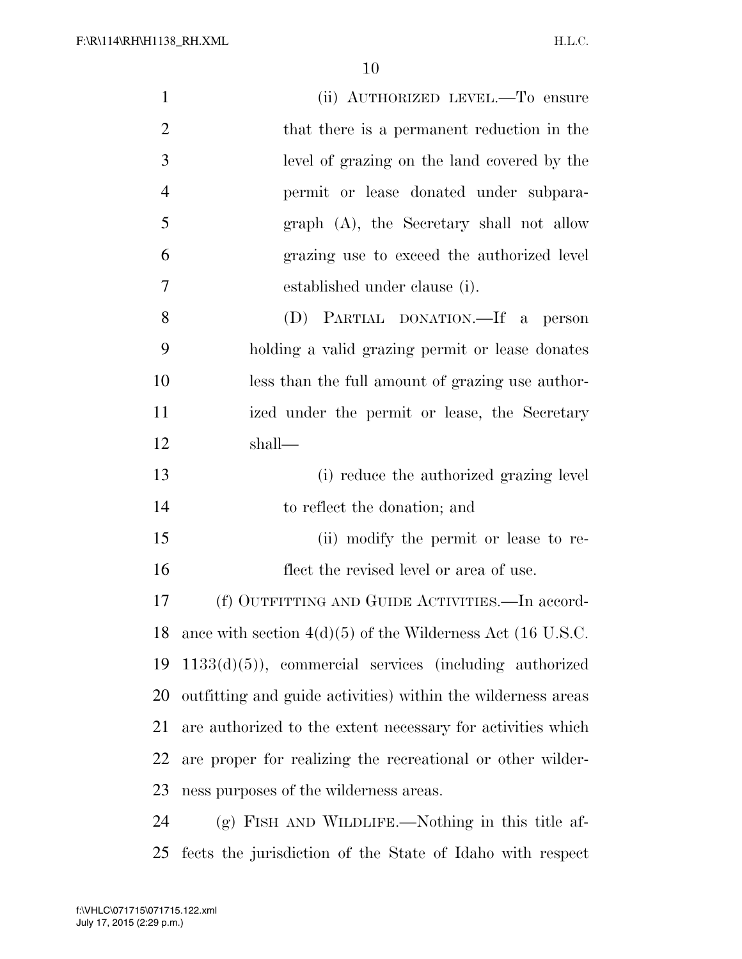F:\R\114\RH\H1138\_RH.XML

| $\mathbf{1}$   | (ii) AUTHORIZED LEVEL.—To ensure                             |
|----------------|--------------------------------------------------------------|
| $\overline{2}$ | that there is a permanent reduction in the                   |
| 3              | level of grazing on the land covered by the                  |
| $\overline{4}$ | permit or lease donated under subpara-                       |
| 5              | graph (A), the Secretary shall not allow                     |
| 6              | grazing use to exceed the authorized level                   |
| $\overline{7}$ | established under clause (i).                                |
| 8              | (D) PARTIAL DONATION.—If a person                            |
| 9              | holding a valid grazing permit or lease donates              |
| 10             | less than the full amount of grazing use author-             |
| 11             | ized under the permit or lease, the Secretary                |
| 12             | shall—                                                       |
| 13             | (i) reduce the authorized grazing level                      |
| 14             | to reflect the donation; and                                 |
| 15             | (ii) modify the permit or lease to re-                       |
| 16             | flect the revised level or area of use.                      |
| 17             | (f) OUTFITTING AND GUIDE ACTIVITIES.—In accord-              |
| 18             | ance with section $4(d)(5)$ of the Wilderness Act (16 U.S.C. |
| 19             | $1133(d)(5)$ , commercial services (including authorized     |
| 20             | outfitting and guide activities) within the wilderness areas |
| 21             | are authorized to the extent necessary for activities which  |
| 22             | are proper for realizing the recreational or other wilder-   |
|                |                                                              |
| 23             | ness purposes of the wilderness areas.                       |

fects the jurisdiction of the State of Idaho with respect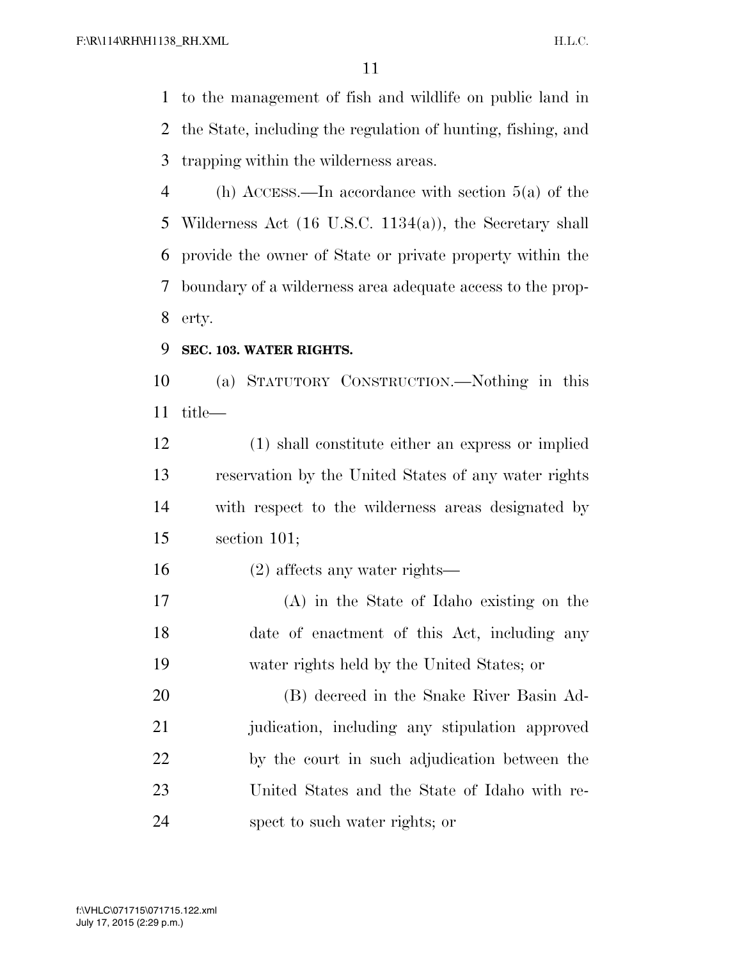to the management of fish and wildlife on public land in the State, including the regulation of hunting, fishing, and trapping within the wilderness areas.

 (h) ACCESS.—In accordance with section 5(a) of the Wilderness Act (16 U.S.C. 1134(a)), the Secretary shall provide the owner of State or private property within the boundary of a wilderness area adequate access to the prop-erty.

**SEC. 103. WATER RIGHTS.** 

 (a) STATUTORY CONSTRUCTION.—Nothing in this title—

 (1) shall constitute either an express or implied reservation by the United States of any water rights with respect to the wilderness areas designated by section 101;

(2) affects any water rights—

 (A) in the State of Idaho existing on the date of enactment of this Act, including any water rights held by the United States; or

 (B) decreed in the Snake River Basin Ad- judication, including any stipulation approved by the court in such adjudication between the United States and the State of Idaho with re-spect to such water rights; or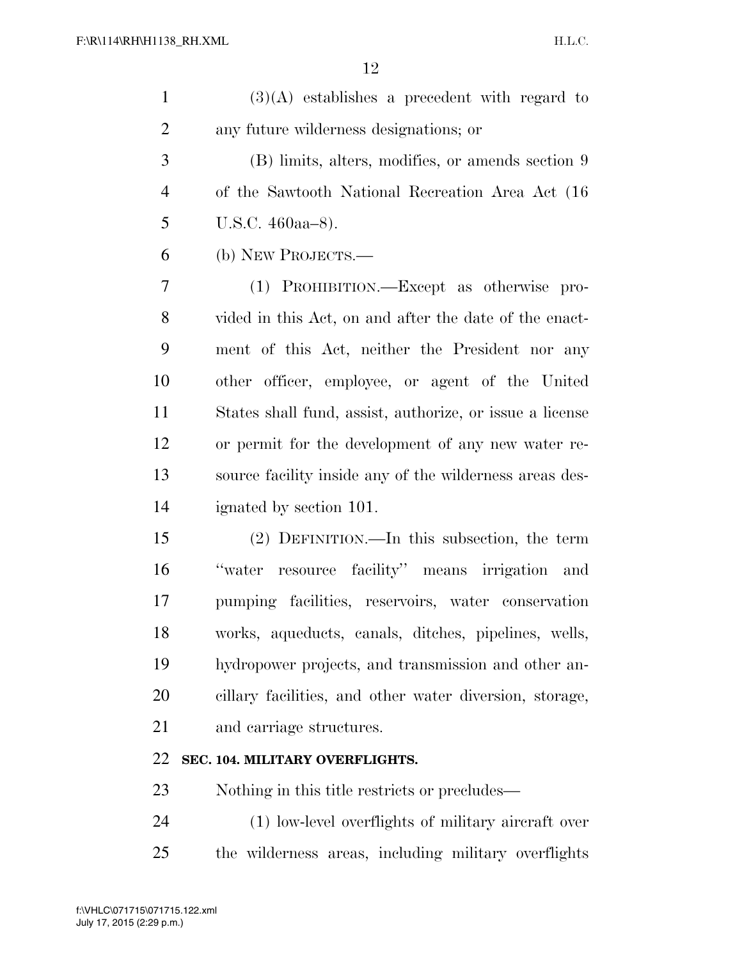| $(3)(A)$ establishes a precedent with regard to |
|-------------------------------------------------|
| any future wilderness designations; or          |

 (B) limits, alters, modifies, or amends section 9 of the Sawtooth National Recreation Area Act (16 U.S.C. 460aa–8).

(b) NEW PROJECTS.—

 (1) PROHIBITION.—Except as otherwise pro- vided in this Act, on and after the date of the enact- ment of this Act, neither the President nor any other officer, employee, or agent of the United States shall fund, assist, authorize, or issue a license or permit for the development of any new water re- source facility inside any of the wilderness areas des-ignated by section 101.

 (2) DEFINITION.—In this subsection, the term ''water resource facility'' means irrigation and pumping facilities, reservoirs, water conservation works, aqueducts, canals, ditches, pipelines, wells, hydropower projects, and transmission and other an- cillary facilities, and other water diversion, storage, and carriage structures.

### **SEC. 104. MILITARY OVERFLIGHTS.**

Nothing in this title restricts or precludes—

 (1) low-level overflights of military aircraft over the wilderness areas, including military overflights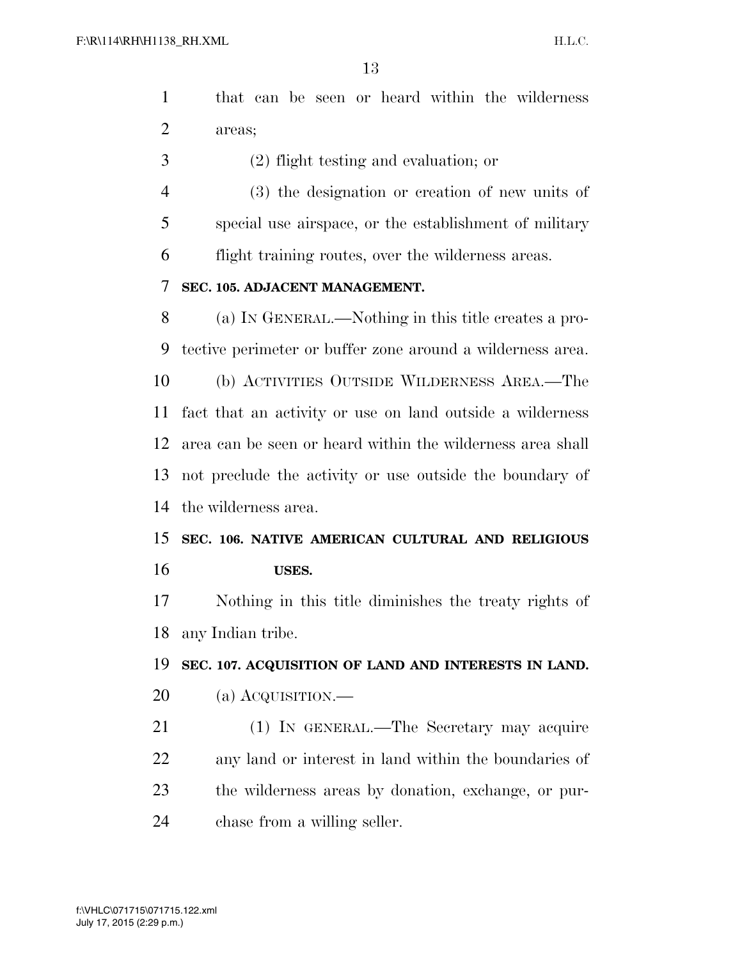|          |  |  |  | 1 that can be seen or heard within the wilderness |
|----------|--|--|--|---------------------------------------------------|
| 2 areas; |  |  |  |                                                   |

- (2) flight testing and evaluation; or
- (3) the designation or creation of new units of special use airspace, or the establishment of military flight training routes, over the wilderness areas.

#### **SEC. 105. ADJACENT MANAGEMENT.**

 (a) IN GENERAL.—Nothing in this title creates a pro- tective perimeter or buffer zone around a wilderness area. (b) ACTIVITIES OUTSIDE WILDERNESS AREA.—The fact that an activity or use on land outside a wilderness area can be seen or heard within the wilderness area shall not preclude the activity or use outside the boundary of the wilderness area.

# **SEC. 106. NATIVE AMERICAN CULTURAL AND RELIGIOUS USES.**

 Nothing in this title diminishes the treaty rights of any Indian tribe.

#### **SEC. 107. ACQUISITION OF LAND AND INTERESTS IN LAND.**

- (a) ACQUISITION.—
- (1) IN GENERAL.—The Secretary may acquire any land or interest in land within the boundaries of the wilderness areas by donation, exchange, or pur-chase from a willing seller.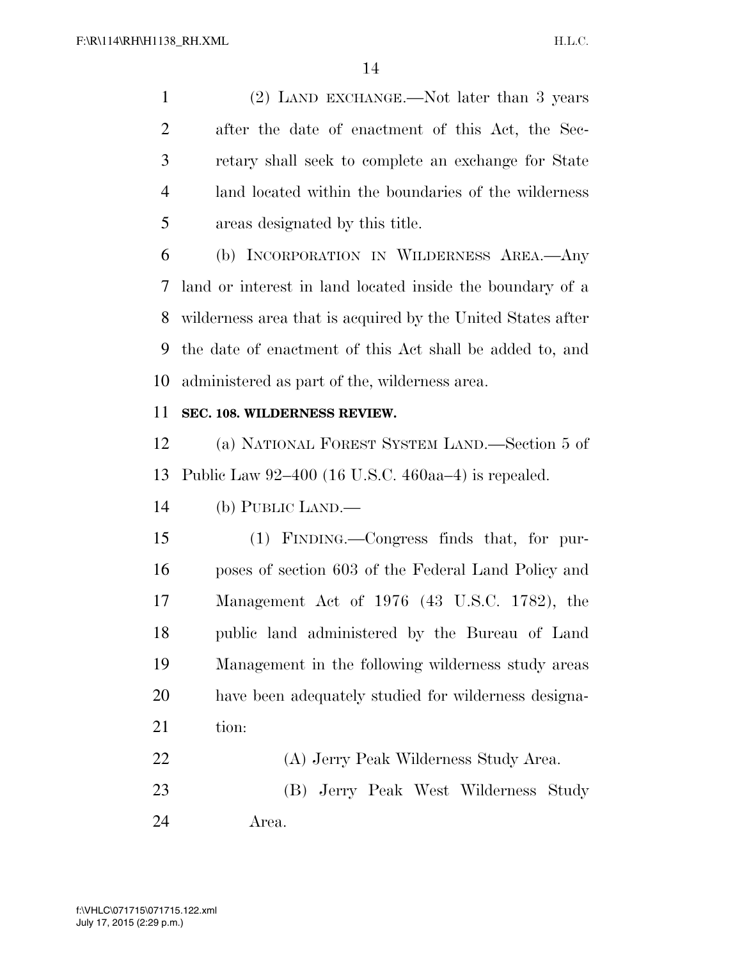(2) LAND EXCHANGE.—Not later than 3 years after the date of enactment of this Act, the Sec- retary shall seek to complete an exchange for State land located within the boundaries of the wilderness areas designated by this title.

 (b) INCORPORATION IN WILDERNESS AREA.—Any land or interest in land located inside the boundary of a wilderness area that is acquired by the United States after the date of enactment of this Act shall be added to, and administered as part of the, wilderness area.

### **SEC. 108. WILDERNESS REVIEW.**

 (a) NATIONAL FOREST SYSTEM LAND.—Section 5 of Public Law 92–400 (16 U.S.C. 460aa–4) is repealed.

(b) PUBLIC LAND.—

 (1) FINDING.—Congress finds that, for pur- poses of section 603 of the Federal Land Policy and Management Act of 1976 (43 U.S.C. 1782), the public land administered by the Bureau of Land Management in the following wilderness study areas have been adequately studied for wilderness designa-21 tion:

- (A) Jerry Peak Wilderness Study Area. (B) Jerry Peak West Wilderness Study
- Area.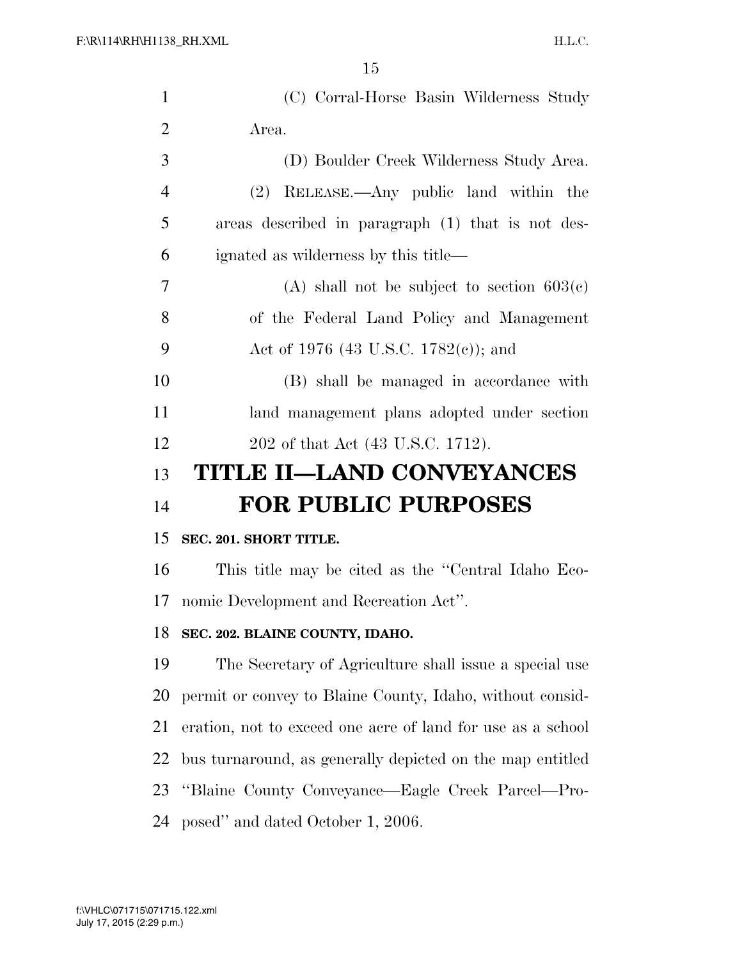| $\mathbf{1}$   | (C) Corral-Horse Basin Wilderness Study                     |
|----------------|-------------------------------------------------------------|
| $\overline{2}$ | Area.                                                       |
| 3              | (D) Boulder Creek Wilderness Study Area.                    |
| $\overline{4}$ | (2) RELEASE.—Any public land within the                     |
| 5              | areas described in paragraph (1) that is not des-           |
| 6              | ignated as wilderness by this title—                        |
| 7              | (A) shall not be subject to section $603(c)$                |
| 8              | of the Federal Land Policy and Management                   |
| 9              | Act of 1976 (43 U.S.C. 1782(c)); and                        |
| 10             | (B) shall be managed in accordance with                     |
| 11             | land management plans adopted under section                 |
| 12             | 202 of that Act (43 U.S.C. 1712).                           |
|                |                                                             |
| 13             | <b>TITLE II-LAND CONVEYANCES</b>                            |
| 14             | <b>FOR PUBLIC PURPOSES</b>                                  |
| 15             | SEC. 201. SHORT TITLE.                                      |
| 16             | This title may be cited as the "Central Idaho Eco-          |
| 17             | nomic Development and Recreation Act".                      |
| 18             | SEC. 202. BLAINE COUNTY, IDAHO.                             |
| 19             | The Secretary of Agriculture shall issue a special use      |
| 20             | permit or convey to Blaine County, Idaho, without consid-   |
| 21             | eration, not to exceed one acre of land for use as a school |
| 22             | bus turnaround, as generally depicted on the map entitled   |
| 23             | "Blaine County Conveyance—Eagle Creek Parcel—Pro-           |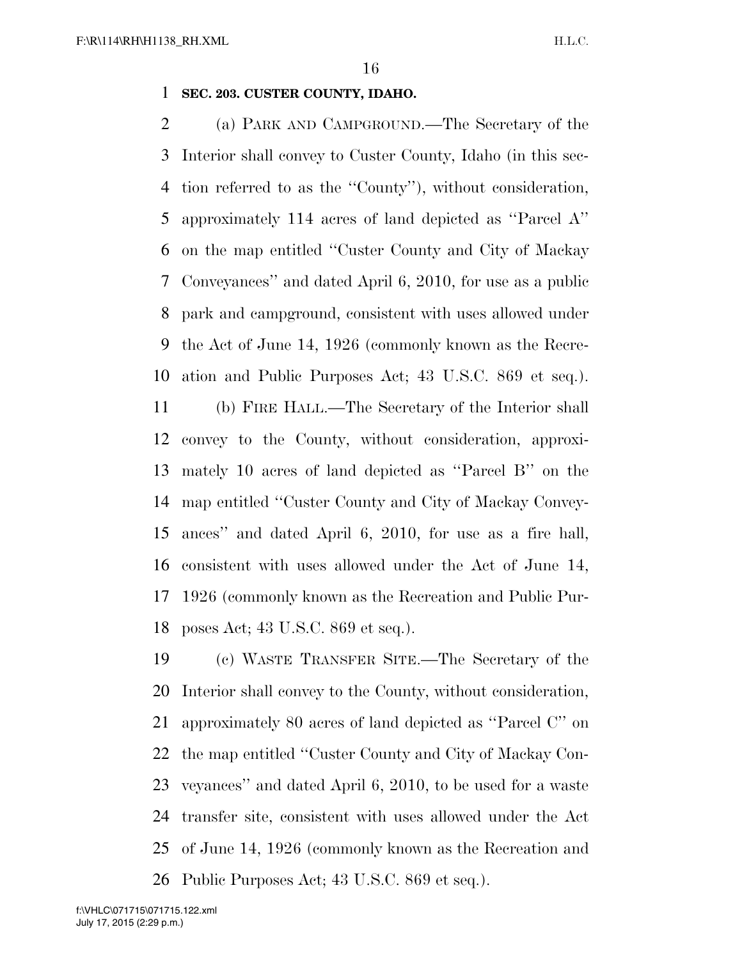#### **SEC. 203. CUSTER COUNTY, IDAHO.**

 (a) PARK AND CAMPGROUND.—The Secretary of the Interior shall convey to Custer County, Idaho (in this sec- tion referred to as the ''County''), without consideration, approximately 114 acres of land depicted as ''Parcel A'' on the map entitled ''Custer County and City of Mackay Conveyances'' and dated April 6, 2010, for use as a public park and campground, consistent with uses allowed under the Act of June 14, 1926 (commonly known as the Recre-ation and Public Purposes Act; 43 U.S.C. 869 et seq.).

 (b) FIRE HALL.—The Secretary of the Interior shall convey to the County, without consideration, approxi- mately 10 acres of land depicted as ''Parcel B'' on the map entitled ''Custer County and City of Mackay Convey- ances'' and dated April 6, 2010, for use as a fire hall, consistent with uses allowed under the Act of June 14, 1926 (commonly known as the Recreation and Public Pur-poses Act; 43 U.S.C. 869 et seq.).

 (c) WASTE TRANSFER SITE.—The Secretary of the Interior shall convey to the County, without consideration, approximately 80 acres of land depicted as ''Parcel C'' on the map entitled ''Custer County and City of Mackay Con- veyances'' and dated April 6, 2010, to be used for a waste transfer site, consistent with uses allowed under the Act of June 14, 1926 (commonly known as the Recreation and Public Purposes Act; 43 U.S.C. 869 et seq.).

July 17, 2015 (2:29 p.m.) f:\VHLC\071715\071715.122.xml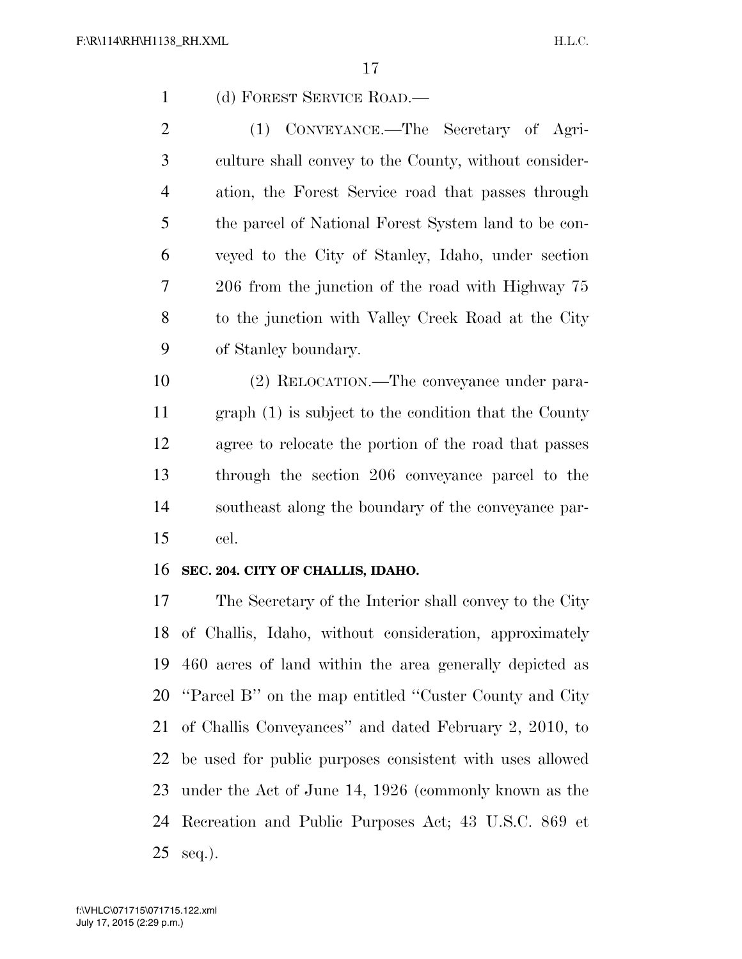(d) FOREST SERVICE ROAD.—

 (1) CONVEYANCE.—The Secretary of Agri- culture shall convey to the County, without consider- ation, the Forest Service road that passes through the parcel of National Forest System land to be con- veyed to the City of Stanley, Idaho, under section 206 from the junction of the road with Highway 75 to the junction with Valley Creek Road at the City of Stanley boundary.

 (2) RELOCATION.—The conveyance under para- graph (1) is subject to the condition that the County agree to relocate the portion of the road that passes through the section 206 conveyance parcel to the southeast along the boundary of the conveyance par-cel.

#### **SEC. 204. CITY OF CHALLIS, IDAHO.**

 The Secretary of the Interior shall convey to the City of Challis, Idaho, without consideration, approximately 460 acres of land within the area generally depicted as ''Parcel B'' on the map entitled ''Custer County and City of Challis Conveyances'' and dated February 2, 2010, to be used for public purposes consistent with uses allowed under the Act of June 14, 1926 (commonly known as the Recreation and Public Purposes Act; 43 U.S.C. 869 et seq.).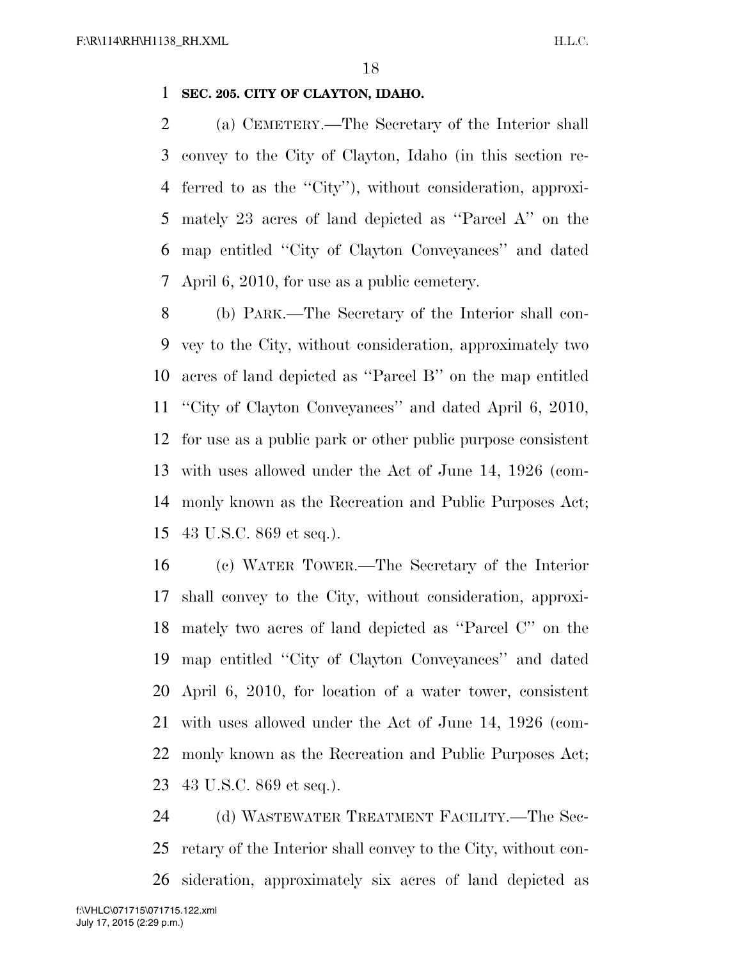#### **SEC. 205. CITY OF CLAYTON, IDAHO.**

 (a) CEMETERY.—The Secretary of the Interior shall convey to the City of Clayton, Idaho (in this section re- ferred to as the ''City''), without consideration, approxi- mately 23 acres of land depicted as ''Parcel A'' on the map entitled ''City of Clayton Conveyances'' and dated April 6, 2010, for use as a public cemetery.

 (b) PARK.—The Secretary of the Interior shall con- vey to the City, without consideration, approximately two acres of land depicted as ''Parcel B'' on the map entitled ''City of Clayton Conveyances'' and dated April 6, 2010, for use as a public park or other public purpose consistent with uses allowed under the Act of June 14, 1926 (com- monly known as the Recreation and Public Purposes Act; 43 U.S.C. 869 et seq.).

 (c) WATER TOWER.—The Secretary of the Interior shall convey to the City, without consideration, approxi- mately two acres of land depicted as ''Parcel C'' on the map entitled ''City of Clayton Conveyances'' and dated April 6, 2010, for location of a water tower, consistent with uses allowed under the Act of June 14, 1926 (com- monly known as the Recreation and Public Purposes Act; 43 U.S.C. 869 et seq.).

 (d) WASTEWATER TREATMENT FACILITY.—The Sec- retary of the Interior shall convey to the City, without con-sideration, approximately six acres of land depicted as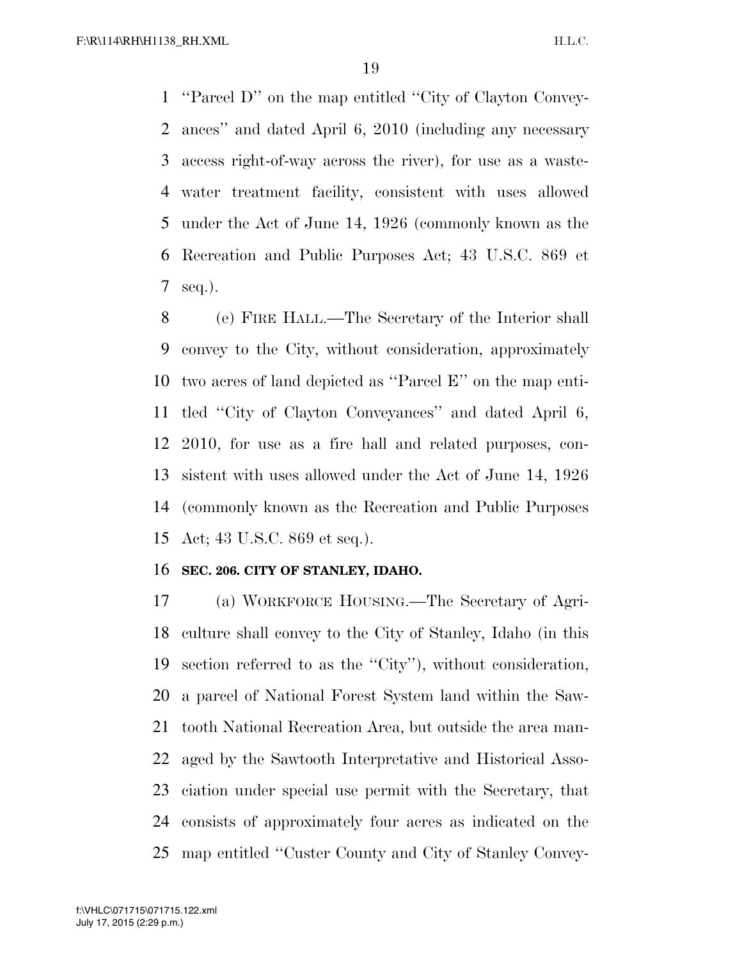''Parcel D'' on the map entitled ''City of Clayton Convey- ances'' and dated April 6, 2010 (including any necessary access right-of-way across the river), for use as a waste- water treatment facility, consistent with uses allowed under the Act of June 14, 1926 (commonly known as the Recreation and Public Purposes Act; 43 U.S.C. 869 et seq.).

 (e) FIRE HALL.—The Secretary of the Interior shall convey to the City, without consideration, approximately two acres of land depicted as ''Parcel E'' on the map enti- tled ''City of Clayton Conveyances'' and dated April 6, 2010, for use as a fire hall and related purposes, con- sistent with uses allowed under the Act of June 14, 1926 (commonly known as the Recreation and Public Purposes Act; 43 U.S.C. 869 et seq.).

#### **SEC. 206. CITY OF STANLEY, IDAHO.**

 (a) WORKFORCE HOUSING.—The Secretary of Agri- culture shall convey to the City of Stanley, Idaho (in this section referred to as the ''City''), without consideration, a parcel of National Forest System land within the Saw- tooth National Recreation Area, but outside the area man- aged by the Sawtooth Interpretative and Historical Asso- ciation under special use permit with the Secretary, that consists of approximately four acres as indicated on the map entitled ''Custer County and City of Stanley Convey-

July 17, 2015 (2:29 p.m.) f:\VHLC\071715\071715.122.xml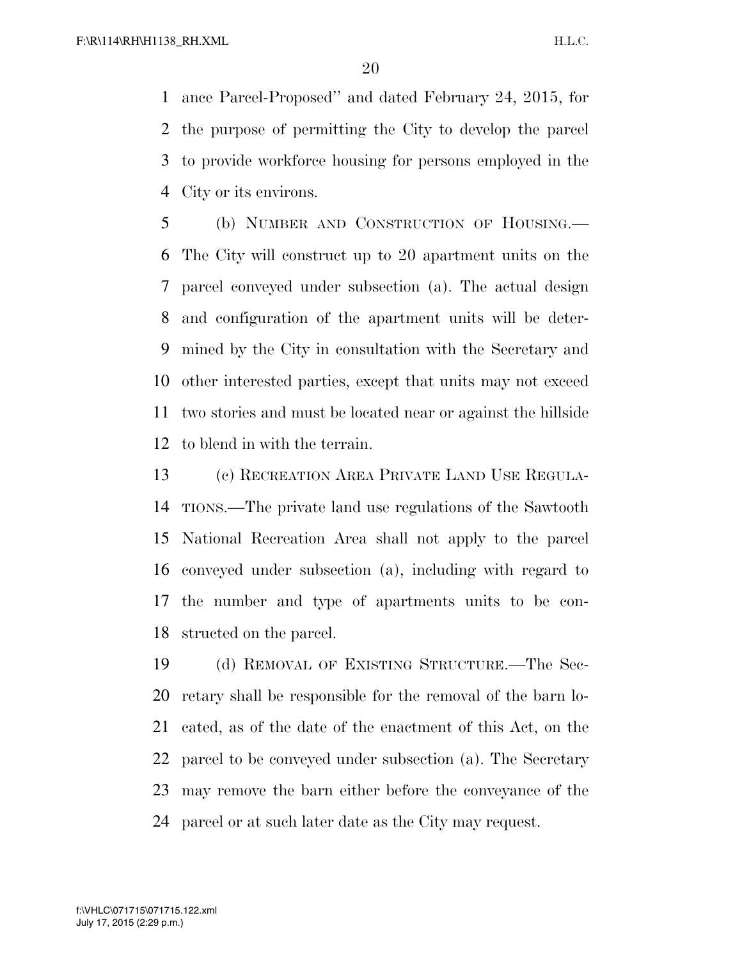ance Parcel-Proposed'' and dated February 24, 2015, for the purpose of permitting the City to develop the parcel to provide workforce housing for persons employed in the City or its environs.

 (b) NUMBER AND CONSTRUCTION OF HOUSING.— The City will construct up to 20 apartment units on the parcel conveyed under subsection (a). The actual design and configuration of the apartment units will be deter- mined by the City in consultation with the Secretary and other interested parties, except that units may not exceed two stories and must be located near or against the hillside to blend in with the terrain.

 (c) RECREATION AREA PRIVATE LAND USE REGULA- TIONS.—The private land use regulations of the Sawtooth National Recreation Area shall not apply to the parcel conveyed under subsection (a), including with regard to the number and type of apartments units to be con-structed on the parcel.

 (d) REMOVAL OF EXISTING STRUCTURE.—The Sec- retary shall be responsible for the removal of the barn lo- cated, as of the date of the enactment of this Act, on the parcel to be conveyed under subsection (a). The Secretary may remove the barn either before the conveyance of the parcel or at such later date as the City may request.